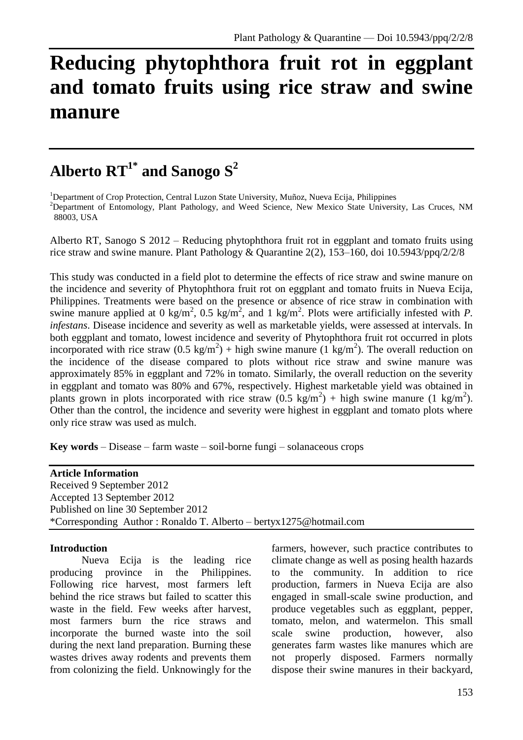# **Reducing phytophthora fruit rot in eggplant and tomato fruits using rice straw and swine manure**

# **Alberto RT1\* and Sanogo S 2**

<sup>1</sup>Department of Crop Protection, Central Luzon State University, Muñoz, Nueva Ecija, Philippines

<sup>2</sup>Department of Entomology, Plant Pathology, and Weed Science, New Mexico State University, Las Cruces, NM 88003, USA

Alberto RT, Sanogo S 2012 – Reducing phytophthora fruit rot in eggplant and tomato fruits using rice straw and swine manure. Plant Pathology & Quarantine 2(2), 153–160, doi 10.5943/ppq/2/2/8

This study was conducted in a field plot to determine the effects of rice straw and swine manure on the incidence and severity of Phytophthora fruit rot on eggplant and tomato fruits in Nueva Ecija, Philippines. Treatments were based on the presence or absence of rice straw in combination with swine manure applied at 0 kg/m<sup>2</sup>, 0.5 kg/m<sup>2</sup>, and 1 kg/m<sup>2</sup>. Plots were artificially infested with *P*. *infestans*. Disease incidence and severity as well as marketable yields, were assessed at intervals. In both eggplant and tomato, lowest incidence and severity of Phytophthora fruit rot occurred in plots incorporated with rice straw  $(0.5 \text{ kg/m}^2)$  + high swine manure  $(1 \text{ kg/m}^2)$ . The overall reduction on the incidence of the disease compared to plots without rice straw and swine manure was approximately 85% in eggplant and 72% in tomato. Similarly, the overall reduction on the severity in eggplant and tomato was 80% and 67%, respectively. Highest marketable yield was obtained in plants grown in plots incorporated with rice straw  $(0.5 \text{ kg/m}^2)$  + high swine manure  $(1 \text{ kg/m}^2)$ . Other than the control, the incidence and severity were highest in eggplant and tomato plots where only rice straw was used as mulch.

**Key words** – Disease – farm waste – soil-borne fungi – solanaceous crops

**Article Information** Received 9 September 2012 Accepted 13 September 2012 Published on line 30 September 2012 \*Corresponding Author : Ronaldo T. Alberto – bertyx1275@hotmail.com

#### **Introduction**

Nueva Ecija is the leading rice producing province in the Philippines. Following rice harvest, most farmers left behind the rice straws but failed to scatter this waste in the field. Few weeks after harvest, most farmers burn the rice straws and incorporate the burned waste into the soil during the next land preparation. Burning these wastes drives away rodents and prevents them from colonizing the field. Unknowingly for the

farmers, however, such practice contributes to climate change as well as posing health hazards to the community. In addition to rice production, farmers in Nueva Ecija are also engaged in small-scale swine production, and produce vegetables such as eggplant, pepper, tomato, melon, and watermelon. This small scale swine production, however, also generates farm wastes like manures which are not properly disposed. Farmers normally dispose their swine manures in their backyard,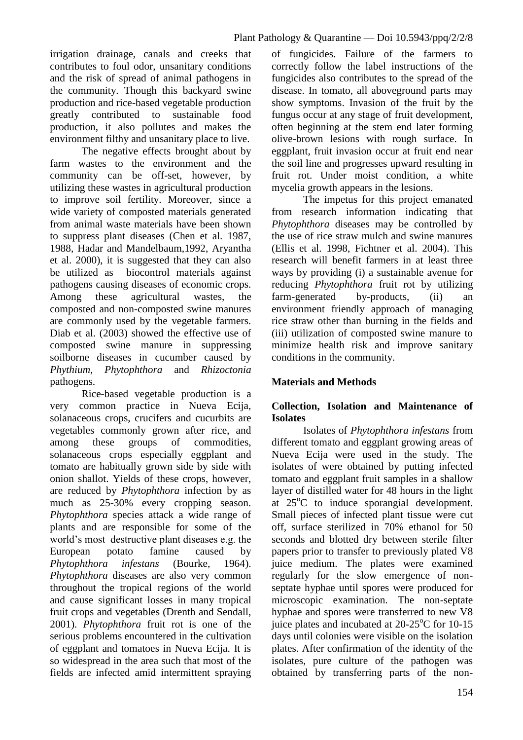irrigation drainage, canals and creeks that contributes to foul odor, unsanitary conditions and the risk of spread of animal pathogens in the community. Though this backyard swine production and rice-based vegetable production greatly contributed to sustainable food production, it also pollutes and makes the environment filthy and unsanitary place to live.

The negative effects brought about by farm wastes to the environment and the community can be off-set, however, by utilizing these wastes in agricultural production to improve soil fertility. Moreover, since a wide variety of composted materials generated from animal waste materials have been shown to suppress plant diseases (Chen et al. 1987, 1988, Hadar and Mandelbaum,1992, Aryantha et al. 2000), it is suggested that they can also be utilized as biocontrol materials against pathogens causing diseases of economic crops. Among these agricultural wastes, the composted and non-composted swine manures are commonly used by the vegetable farmers. Diab et al. (2003) showed the effective use of composted swine manure in suppressing soilborne diseases in cucumber caused by *Phythium, Phytophthora* and *Rhizoctonia*  pathogens.

Rice-based vegetable production is a very common practice in Nueva Ecija, solanaceous crops, crucifers and cucurbits are vegetables commonly grown after rice, and among these groups of commodities, solanaceous crops especially eggplant and tomato are habitually grown side by side with onion shallot. Yields of these crops, however, are reduced by *Phytophthora* infection by as much as 25-30% every cropping season. *Phytophthora* species attack a wide range of plants and are responsible for some of the world's most destructive plant diseases e.g. the European potato famine caused by *Phytophthora infestans* (Bourke, 1964). *Phytophthora* diseases are also very common throughout the tropical regions of the world and cause significant losses in many tropical fruit crops and vegetables (Drenth and Sendall, 2001). *Phytophthora* fruit rot is one of the serious problems encountered in the cultivation of eggplant and tomatoes in Nueva Ecija. It is so widespread in the area such that most of the fields are infected amid intermittent spraying of fungicides. Failure of the farmers to correctly follow the label instructions of the fungicides also contributes to the spread of the disease. In tomato, all aboveground parts may show symptoms. Invasion of the fruit by the fungus occur at any stage of fruit development, often beginning at the stem end later forming olive-brown lesions with rough surface. In eggplant, fruit invasion occur at fruit end near the soil line and progresses upward resulting in fruit rot. Under moist condition, a white mycelia growth appears in the lesions.

The impetus for this project emanated from research information indicating that *Phytophthora* diseases may be controlled by the use of rice straw mulch and swine manures (Ellis et al. 1998, Fichtner et al. 2004). This research will benefit farmers in at least three ways by providing (i) a sustainable avenue for reducing *Phytophthora* fruit rot by utilizing farm-generated by-products, (ii) an environment friendly approach of managing rice straw other than burning in the fields and (iii) utilization of composted swine manure to minimize health risk and improve sanitary conditions in the community.

# **Materials and Methods**

# **Collection, Isolation and Maintenance of Isolates**

Isolates of *Phytophthora infestans* from different tomato and eggplant growing areas of Nueva Ecija were used in the study. The isolates of were obtained by putting infected tomato and eggplant fruit samples in a shallow layer of distilled water for 48 hours in the light at  $25^{\circ}$ C to induce sporangial development. Small pieces of infected plant tissue were cut off, surface sterilized in 70% ethanol for 50 seconds and blotted dry between sterile filter papers prior to transfer to previously plated V8 juice medium. The plates were examined regularly for the slow emergence of nonseptate hyphae until spores were produced for microscopic examination. The non-septate hyphae and spores were transferred to new V8 iuice plates and incubated at  $20-25^{\circ}$ C for 10-15 days until colonies were visible on the isolation plates. After confirmation of the identity of the isolates, pure culture of the pathogen was obtained by transferring parts of the non-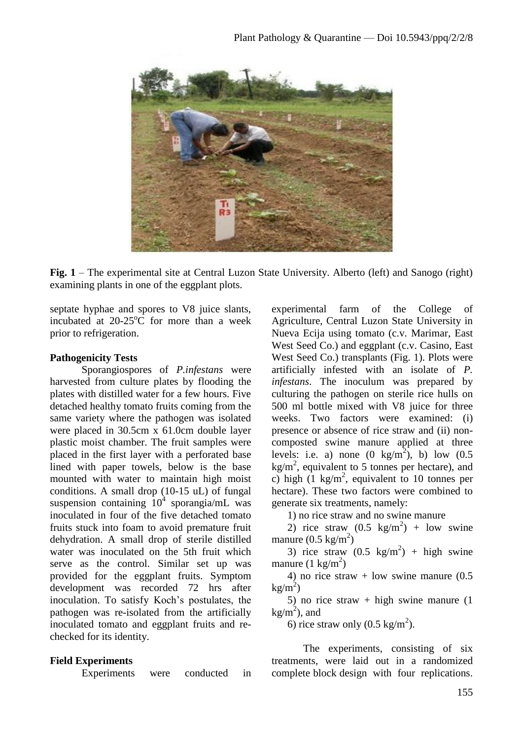

Fig. 1 – The experimental site at Central Luzon State University. Alberto (left) and Sanogo (right) examining plants in one of the eggplant plots.

septate hyphae and spores to V8 juice slants, incubated at  $20-25^{\circ}$ C for more than a week prior to refrigeration.

# **Pathogenicity Tests**

Sporangiospores of *P.infestans* were harvested from culture plates by flooding the plates with distilled water for a few hours. Five detached healthy tomato fruits coming from the same variety where the pathogen was isolated were placed in 30.5cm x 61.0cm double layer plastic moist chamber. The fruit samples were placed in the first layer with a perforated base lined with paper towels, below is the base mounted with water to maintain high moist conditions. A small drop (10-15 uL) of fungal suspension containing  $10^4$  sporangia/mL was inoculated in four of the five detached tomato fruits stuck into foam to avoid premature fruit dehydration. A small drop of sterile distilled water was inoculated on the 5th fruit which serve as the control. Similar set up was provided for the eggplant fruits. Symptom development was recorded 72 hrs after inoculation. To satisfy Koch's postulates, the pathogen was re-isolated from the artificially inoculated tomato and eggplant fruits and rechecked for its identity.

# **Field Experiments**

Experiments were conducted in

experimental farm of the College of Agriculture, Central Luzon State University in Nueva Ecija using tomato (c.v. Marimar, East West Seed Co.) and eggplant (c.v. Casino, East West Seed Co.) transplants (Fig. 1). Plots were artificially infested with an isolate of *P. infestans*. The inoculum was prepared by culturing the pathogen on sterile rice hulls on 500 ml bottle mixed with V8 juice for three weeks. Two factors were examined: (i) presence or absence of rice straw and (ii) noncomposted swine manure applied at three levels: i.e. a) none  $(0 \text{ kg/m}^2)$ , b) low  $(0.5 \text{ m})$  $kg/m<sup>2</sup>$ , equivalent to 5 tonnes per hectare), and c) high  $(1 \text{ kg/m}^2, \text{ equivalent to } 10 \text{ tonnes per})$ hectare). These two factors were combined to generate six treatments, namely:

1) no rice straw and no swine manure

2) rice straw  $(0.5 \text{ kg/m}^2)$  + low swine manure  $(0.5 \text{ kg/m}^2)$ 

3) rice straw  $(0.5 \text{ kg/m}^2)$  + high swine manure  $(1 \text{ kg/m}^2)$ 

4) no rice straw  $+$  low swine manure  $(0.5)$  $\text{kg/m}^2$ )

5) no rice straw + high swine manure (1  $kg/m<sup>2</sup>$ ), and

6) rice straw only  $(0.5 \text{ kg/m}^2)$ .

The experiments, consisting of six treatments, were laid out in a randomized complete block design with four replications.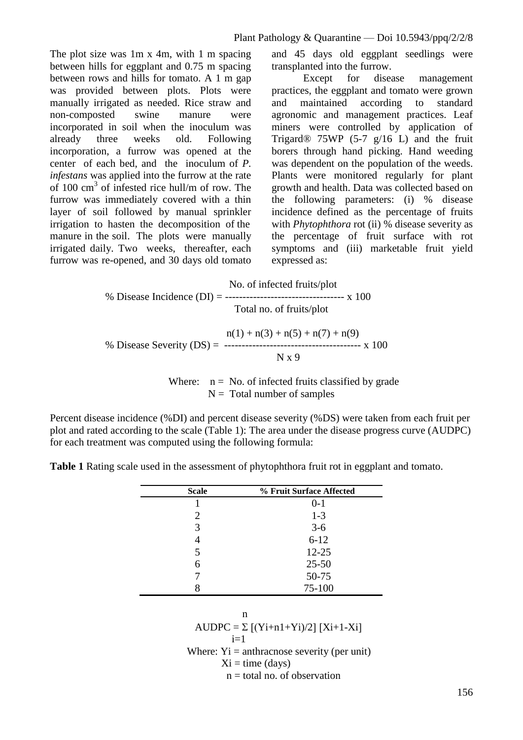The plot size was 1m x 4m, with 1 m spacing between hills for eggplant and 0.75 m spacing between rows and hills for tomato. A 1 m gap was provided between plots. Plots were manually irrigated as needed. Rice straw and non-composted swine manure were incorporated in soil when the inoculum was already three weeks old. Following incorporation, a furrow was opened at the center of each bed, and the inoculum of *P. infestans* was applied into the furrow at the rate of 100 cm<sup>3</sup> of infested rice hull/m of row. The furrow was immediately covered with a thin layer of soil followed by manual sprinkler irrigation to hasten the decomposition of the manure in the soil. The plots were manually irrigated daily. Two weeks, thereafter, each furrow was re-opened, and 30 days old tomato

and 45 days old eggplant seedlings were transplanted into the furrow.

Except for disease management practices, the eggplant and tomato were grown and maintained according to standard agronomic and management practices. Leaf miners were controlled by application of Trigard<sup>®</sup> 75WP (5-7  $g/16$  L) and the fruit borers through hand picking. Hand weeding was dependent on the population of the weeds. Plants were monitored regularly for plant growth and health. Data was collected based on the following parameters: (i) % disease incidence defined as the percentage of fruits with *Phytophthora* rot (ii) % disease severity as the percentage of fruit surface with rot symptoms and (iii) marketable fruit yield expressed as:

No. of infected fruits/plot  
\n% Disease Incidence (DI) = 
$$
-\frac{\text{Total}}{\text{Total no. of fruits/plot}}
$$
 x 100

 $n(1) + n(3) + n(5) + n(7) + n(9)$  % Disease Severity (DS) = --------------------------------------- x 100 N x 9

> Where:  $n = No$  of infected fruits classified by grade  $N =$ Total number of samples

Percent disease incidence (%DI) and percent disease severity (%DS) were taken from each fruit per plot and rated according to the scale (Table 1): The area under the disease progress curve (AUDPC) for each treatment was computed using the following formula:

**Table 1** Rating scale used in the assessment of phytophthora fruit rot in eggplant and tomato.

| <b>Scale</b> | % Fruit Surface Affected |
|--------------|--------------------------|
|              | $0 - 1$                  |
| 2            | $1 - 3$                  |
| 3            | $3 - 6$                  |
|              | $6 - 12$                 |
| 5            | $12 - 25$                |
| 6            | $25 - 50$                |
|              | 50-75                    |
|              | 75-100                   |

$$
\mathbf{n}^{\mathbf{a}}
$$

AUDPC =  $\Sigma$  [(Yi+n1+Yi)/2] [Xi+1-Xi]

$$
\begin{array}{c}\n i=1 \\
\overline{\phantom{2}} \\
-\end{array}
$$

Where:  $yi = \text{anthraonose severity (per unit)}$ 

 $Xi = time$  (days)

 $n =$  total no. of observation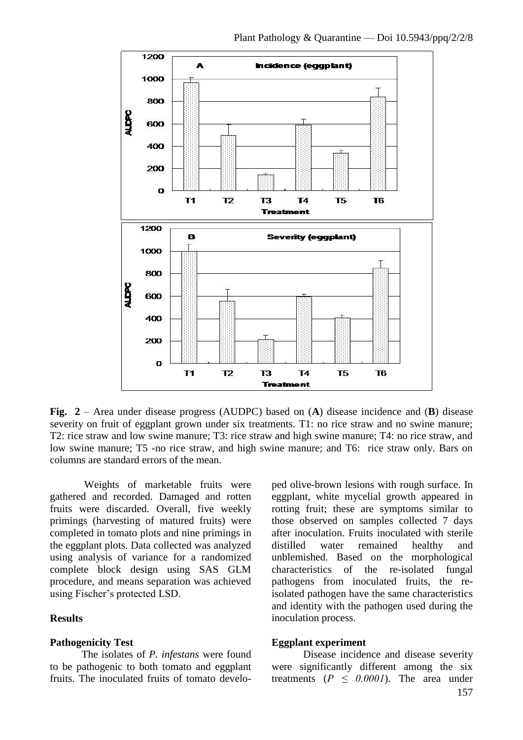

**Fig. 2** – Area under disease progress (AUDPC) based on (**A**) disease incidence and (**B**) disease severity on fruit of eggplant grown under six treatments. T1: no rice straw and no swine manure; T2: rice straw and low swine manure; T3: rice straw and high swine manure; T4: no rice straw, and low swine manure; T5 -no rice straw, and high swine manure; and T6: rice straw only. Bars on columns are standard errors of the mean.

Weights of marketable fruits were gathered and recorded. Damaged and rotten fruits were discarded. Overall, five weekly primings (harvesting of matured fruits) were completed in tomato plots and nine primings in the eggplant plots. Data collected was analyzed using analysis of variance for a randomized complete block design using SAS GLM procedure, and means separation was achieved using Fischer's protected LSD.

#### **Results**

#### **Pathogenicity Test**

The isolates of *P. infestans* were found to be pathogenic to both tomato and eggplant fruits. The inoculated fruits of tomato develo-

ped olive-brown lesions with rough surface. In eggplant, white mycelial growth appeared in rotting fruit; these are symptoms similar to those observed on samples collected 7 days after inoculation. Fruits inoculated with sterile distilled water remained healthy and unblemished. Based on the morphological characteristics of the re-isolated fungal pathogens from inoculated fruits, the reisolated pathogen have the same characteristics and identity with the pathogen used during the inoculation process.

#### **Eggplant experiment**

Disease incidence and disease severity were significantly different among the six treatments  $(P \le 0.0001)$ . The area under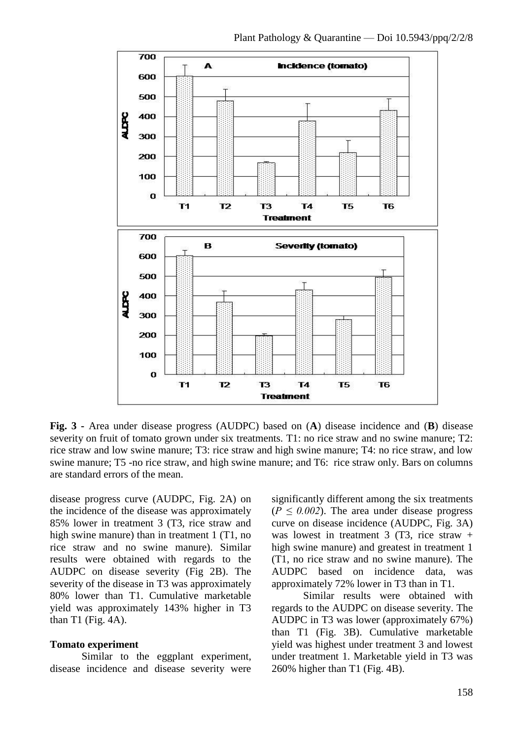

**Fig. 3 -** Area under disease progress (AUDPC) based on (**A**) disease incidence and (**B**) disease severity on fruit of tomato grown under six treatments. T1: no rice straw and no swine manure; T2: rice straw and low swine manure; T3: rice straw and high swine manure; T4: no rice straw, and low swine manure; T5 -no rice straw, and high swine manure; and T6: rice straw only. Bars on columns are standard errors of the mean.

disease progress curve (AUDPC, Fig. 2A) on the incidence of the disease was approximately 85% lower in treatment 3 (T3, rice straw and high swine manure) than in treatment 1 (T1, no rice straw and no swine manure). Similar results were obtained with regards to the AUDPC on disease severity (Fig 2B). The severity of the disease in T3 was approximately 80% lower than T1. Cumulative marketable yield was approximately 143% higher in T3 than T1 (Fig.  $4A$ ).

#### **Tomato experiment**

Similar to the eggplant experiment, disease incidence and disease severity were significantly different among the six treatments  $(P \le 0.002)$ . The area under disease progress curve on disease incidence (AUDPC, Fig. 3A) was lowest in treatment 3 (T3, rice straw  $+$ high swine manure) and greatest in treatment 1 (T1, no rice straw and no swine manure). The AUDPC based on incidence data, was approximately 72% lower in T3 than in T1.

Similar results were obtained with regards to the AUDPC on disease severity. The AUDPC in T3 was lower (approximately 67%) than T1 (Fig. 3B). Cumulative marketable yield was highest under treatment 3 and lowest under treatment 1. Marketable yield in T3 was 260% higher than T1 (Fig. 4B).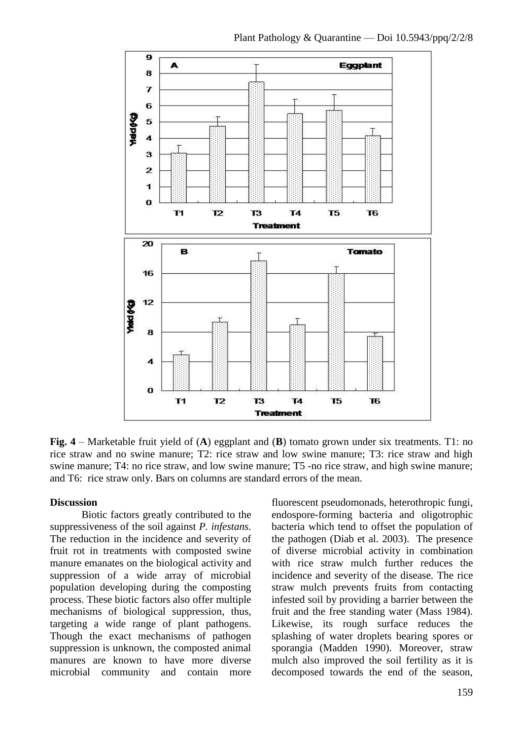

**Fig. 4** – Marketable fruit yield of (**A**) eggplant and (**B**) tomato grown under six treatments. T1: no rice straw and no swine manure; T2: rice straw and low swine manure; T3: rice straw and high swine manure; T4: no rice straw, and low swine manure; T5 -no rice straw, and high swine manure; and T6: rice straw only. Bars on columns are standard errors of the mean.

#### **Discussion**

Biotic factors greatly contributed to the suppressiveness of the soil against *P. infestans.* The reduction in the incidence and severity of fruit rot in treatments with composted swine manure emanates on the biological activity and suppression of a wide array of microbial population developing during the composting process. These biotic factors also offer multiple mechanisms of biological suppression, thus, targeting a wide range of plant pathogens. Though the exact mechanisms of pathogen suppression is unknown, the composted animal manures are known to have more diverse microbial community and contain more

fluorescent pseudomonads, heterothropic fungi, endospore-forming bacteria and oligotrophic bacteria which tend to offset the population of the pathogen (Diab et al. 2003). The presence of diverse microbial activity in combination with rice straw mulch further reduces the incidence and severity of the disease. The rice straw mulch prevents fruits from contacting infested soil by providing a barrier between the fruit and the free standing water (Mass 1984). Likewise, its rough surface reduces the splashing of water droplets bearing spores or sporangia (Madden 1990). Moreover, straw mulch also improved the soil fertility as it is decomposed towards the end of the season,